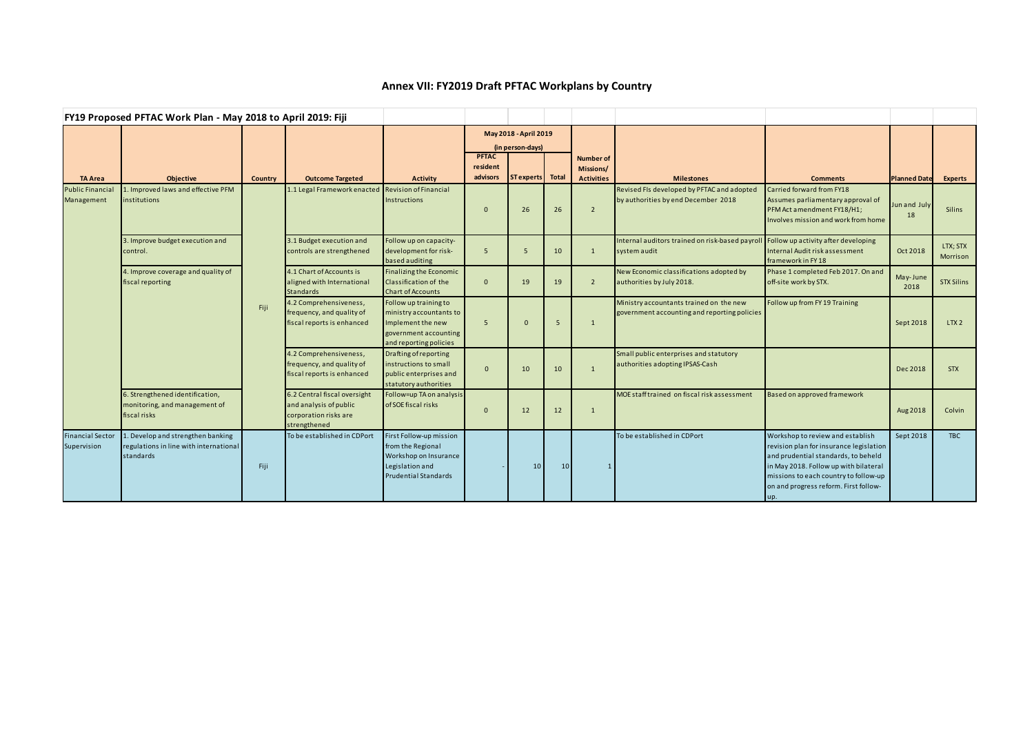## **Annex VII: FY2019 Draft PFTAC Workplans by Country**

| FY19 Proposed PFTAC Work Plan - May 2018 to April 2019: Fiji |                                                                                         |                |                                                                                                 |                                                                                                                          |                                           |                  |                 |                               |                                                                                                     |                                                                                                                                                                                                                                                      |                     |                      |
|--------------------------------------------------------------|-----------------------------------------------------------------------------------------|----------------|-------------------------------------------------------------------------------------------------|--------------------------------------------------------------------------------------------------------------------------|-------------------------------------------|------------------|-----------------|-------------------------------|-----------------------------------------------------------------------------------------------------|------------------------------------------------------------------------------------------------------------------------------------------------------------------------------------------------------------------------------------------------------|---------------------|----------------------|
|                                                              |                                                                                         |                |                                                                                                 |                                                                                                                          | May 2018 - April 2019<br>(in person-days) |                  |                 |                               |                                                                                                     |                                                                                                                                                                                                                                                      |                     |                      |
|                                                              |                                                                                         |                |                                                                                                 |                                                                                                                          | <b>PFTAC</b><br>resident                  |                  |                 | <b>Number of</b><br>Missions/ |                                                                                                     |                                                                                                                                                                                                                                                      |                     |                      |
| <b>TA Area</b>                                               | <b>Objective</b>                                                                        | <b>Country</b> | <b>Outcome Targeted</b>                                                                         | <b>Activity</b>                                                                                                          | advisors                                  | ST experts Total |                 | <b>Activities</b>             | <b>Milestones</b>                                                                                   | <b>Comments</b>                                                                                                                                                                                                                                      | <b>Planned Date</b> | Experts              |
| <b>Public Financia</b><br>Management                         | 1. Improved laws and effective PFM<br>institutions                                      |                | 1.1 Legal Framework enacted                                                                     | <b>Revision of Financial</b><br><b>Instructions</b>                                                                      | $\Omega$                                  | 26               | 26              | $\overline{2}$                | Revised FIs developed by PFTAC and adopted<br>by authorities by end December 2018                   | Carried forward from FY18<br>Assumes parliamentary approval of<br>PFM Act amendment FY18/H1;<br>Involves mission and work from home                                                                                                                  | Jun and July<br>18  | Silins               |
|                                                              | 3. Improve budget execution and<br>control.                                             |                | 3.1 Budget execution and<br>controls are strengthened                                           | Follow up on capacity-<br>development for risk-<br>based auditing                                                        | -5                                        | 5                | 10              | $\mathbf{1}$                  | Internal auditors trained on risk-based payroll Follow up activity after developing<br>system audit | Internal Audit risk assessment<br>framework in FY18                                                                                                                                                                                                  | Oct 2018            | LTX; STX<br>Morrison |
|                                                              | 4. Improve coverage and quality of<br>fiscal reporting                                  |                | 4.1 Chart of Accounts is<br>aligned with International<br><b>Standards</b>                      | <b>Finalizing the Economic</b><br><b>Classification of the</b><br><b>Chart of Accounts</b>                               | $\Omega$                                  | 19               | 19              | $\overline{2}$                | New Economic classifications adopted by<br>authorities by July 2018.                                | Phase 1 completed Feb 2017. On and<br>off-site work by STX.                                                                                                                                                                                          | May-June<br>2018    | <b>STX Silins</b>    |
|                                                              |                                                                                         | Fiji           | 4.2 Comprehensiveness,<br>frequency, and quality of<br>fiscal reports is enhanced               | Follow up training to<br>ministry accountants to<br>Implement the new<br>government accounting<br>and reporting policies | 5                                         | $\Omega$         | -5              | $\mathbf{1}$                  | Ministry accountants trained on the new<br>government accounting and reporting policies             | Follow up from FY 19 Training                                                                                                                                                                                                                        | Sept 2018           | LTX2                 |
|                                                              |                                                                                         |                | 4.2 Comprehensiveness,<br>frequency, and quality of<br>fiscal reports is enhanced               | Drafting of reporting<br>instructions to small<br>public enterprises and<br>statutory authorities                        | $\Omega$                                  | 10               | 10              | $\mathbf{1}$                  | Small public enterprises and statutory<br>authorities adopting IPSAS-Cash                           |                                                                                                                                                                                                                                                      | Dec 2018            | <b>STX</b>           |
|                                                              | 6. Strengthened identification,<br>monitoring, and management of<br>fiscal risks        |                | 6.2 Central fiscal oversight<br>and analysis of public<br>corporation risks are<br>strengthened | Follow=up TA on analysis<br>of SOE fiscal risks                                                                          | $\overline{0}$                            | 12               | 12              | $\overline{1}$                | MOE staff trained on fiscal risk assessment                                                         | Based on approved framework                                                                                                                                                                                                                          | Aug 2018            | Colvin               |
| <b>Financial Sector</b><br>Supervision                       | . Develop and strengthen banking<br>regulations in line with international<br>standards | Fiji           | To be established in CDPort                                                                     | First Follow-up mission<br>from the Regional<br>Workshop on Insurance<br>Legislation and<br>Prudential Standards         |                                           | 10 <sup>1</sup>  | 10 <sup>1</sup> |                               | To be established in CDPort                                                                         | Workshop to review and establish<br>revision plan for insurance legislation<br>and prudential standards, to beheld<br>in May 2018. Follow up with bilateral<br>missions to each country to follow-up<br>on and progress reform. First follow-<br>up. | Sept 2018           | <b>TBC</b>           |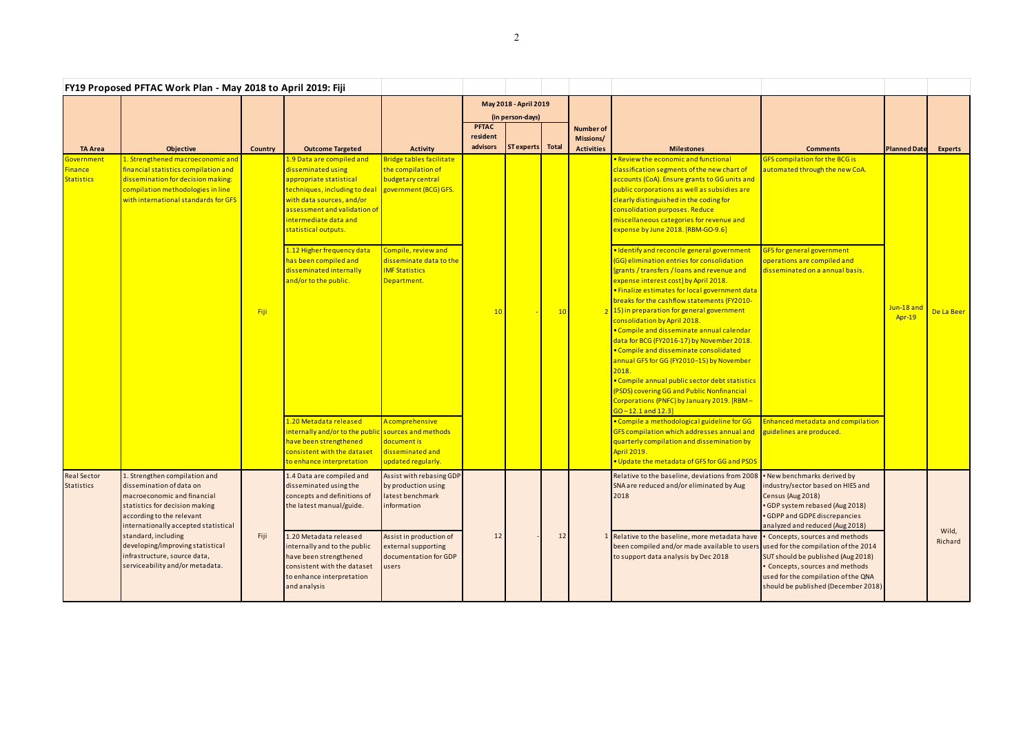|                                                   | FY19 Proposed PFTAC Work Plan - May 2018 to April 2019: Fiji                                                                                                                                                                                                                                                                  |         |                                                                                                                                                                                                                                                                                                                                      |                                                                                                                                                                                        |                       |                  |    |                   |                                                                                                                                                                                                                                                                                                                                                                                                                                                                                                                                                                                                                                                                                                                                                                                                                                                                                                                     |                                                                                                                                                                                                                                                                                                                    |                             |                  |
|---------------------------------------------------|-------------------------------------------------------------------------------------------------------------------------------------------------------------------------------------------------------------------------------------------------------------------------------------------------------------------------------|---------|--------------------------------------------------------------------------------------------------------------------------------------------------------------------------------------------------------------------------------------------------------------------------------------------------------------------------------------|----------------------------------------------------------------------------------------------------------------------------------------------------------------------------------------|-----------------------|------------------|----|-------------------|---------------------------------------------------------------------------------------------------------------------------------------------------------------------------------------------------------------------------------------------------------------------------------------------------------------------------------------------------------------------------------------------------------------------------------------------------------------------------------------------------------------------------------------------------------------------------------------------------------------------------------------------------------------------------------------------------------------------------------------------------------------------------------------------------------------------------------------------------------------------------------------------------------------------|--------------------------------------------------------------------------------------------------------------------------------------------------------------------------------------------------------------------------------------------------------------------------------------------------------------------|-----------------------------|------------------|
|                                                   |                                                                                                                                                                                                                                                                                                                               |         |                                                                                                                                                                                                                                                                                                                                      |                                                                                                                                                                                        | May 2018 - April 2019 |                  |    |                   |                                                                                                                                                                                                                                                                                                                                                                                                                                                                                                                                                                                                                                                                                                                                                                                                                                                                                                                     |                                                                                                                                                                                                                                                                                                                    |                             |                  |
|                                                   |                                                                                                                                                                                                                                                                                                                               |         |                                                                                                                                                                                                                                                                                                                                      |                                                                                                                                                                                        | <b>PFTAC</b>          | (in person-days) |    | Number of         |                                                                                                                                                                                                                                                                                                                                                                                                                                                                                                                                                                                                                                                                                                                                                                                                                                                                                                                     |                                                                                                                                                                                                                                                                                                                    |                             |                  |
|                                                   |                                                                                                                                                                                                                                                                                                                               |         |                                                                                                                                                                                                                                                                                                                                      |                                                                                                                                                                                        | resident              |                  |    | Missions/         |                                                                                                                                                                                                                                                                                                                                                                                                                                                                                                                                                                                                                                                                                                                                                                                                                                                                                                                     |                                                                                                                                                                                                                                                                                                                    |                             |                  |
| <b>TA Area</b>                                    | Objective                                                                                                                                                                                                                                                                                                                     | Country | <b>Outcome Targeted</b>                                                                                                                                                                                                                                                                                                              | <b>Activity</b>                                                                                                                                                                        | advisors              | ST experts Total |    | <b>Activities</b> | <b>Milestones</b>                                                                                                                                                                                                                                                                                                                                                                                                                                                                                                                                                                                                                                                                                                                                                                                                                                                                                                   | <b>Comments</b>                                                                                                                                                                                                                                                                                                    | <b>Planned Date</b>         | <b>Experts</b>   |
| Government<br><b>Finance</b><br><b>Statistics</b> | 1. Strengthened macroeconomic and<br>financial statistics compilation and<br>dissemination for decision making:<br>compilation methodologies in line<br>with international standards for GFS                                                                                                                                  | Fiji    | 1.9 Data are compiled and<br>disseminated using<br>appropriate statistical<br>techniques, including to deal<br>with data sources, and/or<br>assessment and validation of<br>intermediate data and<br>statistical outputs.<br>1.12 Higher frequency data<br>has been compiled and<br>disseminated internally<br>and/or to the public. | Bridge tables facilitate<br>the compilation of<br>budgetary central<br>government (BCG) GFS.<br>Compile, review and<br>disseminate data to the<br><b>IMF Statistics</b><br>Department. | 10                    |                  | 10 |                   | • Review the economic and functional<br>classification segments of the new chart of<br>accounts (CoA). Ensure grants to GG units and<br>public corporations as well as subsidies are<br>clearly distinguished in the coding for<br>consolidation purposes. Reduce<br>miscellaneous categories for revenue and<br>expense by June 2018. [RBM-GO-9.6]<br>· Identify and reconcile general government<br>(GG) elimination entries for consolidation<br>[grants / transfers / loans and revenue and<br>expense interest cost] by April 2018.<br>· Finalize estimates for local government data<br>breaks for the cashflow statements (FY2010-<br>2 15) in preparation for general government<br>consolidation by April 2018.<br>• Compile and disseminate annual calendar<br>data for BCG (FY2016-17) by November 2018.<br>• Compile and disseminate consolidated<br>annual GFS for GG (FY2010-15) by November<br>2018. | <b>GFS compilation for the BCG is</b><br>automated through the new CoA.<br><b>GFS</b> for general government<br>operations are compiled and<br>disseminated on a annual basis.                                                                                                                                     | Jun-18 and<br><b>Apr-19</b> | De La Beer       |
|                                                   |                                                                                                                                                                                                                                                                                                                               |         | 1.20 Metadata released<br>internally and/or to the public sources and methods<br>have been strengthened<br>consistent with the dataset<br>to enhance interpretation                                                                                                                                                                  | A comprehensive<br>document is<br>disseminated and<br>updated regularly.                                                                                                               |                       |                  |    |                   | • Compile annual public sector debt statistics<br>(PSDS) covering GG and Public Nonfinancial<br>Corporations (PNFC) by January 2019. [RBM-<br>$GO-12.1$ and $12.3$<br>• Compile a methodological guideline for GG<br>GFS compilation which addresses annual and<br>quarterly compilation and dissemination by<br><b>April 2019.</b><br>. Update the metadata of GFS for GG and PSDS                                                                                                                                                                                                                                                                                                                                                                                                                                                                                                                                 | Enhanced metadata and compilation<br>guidelines are produced.                                                                                                                                                                                                                                                      |                             |                  |
| <b>Real Sector</b><br><b>Statistics</b>           | 1. Strengthen compilation and<br>dissemination of data on<br>macroeconomic and financial<br>statistics for decision making<br>according to the relevant<br>internationally accepted statistical<br>standard, including<br>developing/improving statistical<br>infrastructure, source data,<br>serviceability and/or metadata. | Fiji    | 1.4 Data are compiled and<br>disseminated using the<br>concepts and definitions of<br>the latest manual/guide.<br>1.20 Metadata released<br>internally and to the public<br>have been strengthened<br>consistent with the dataset<br>to enhance interpretation<br>and analysis                                                       | Assist with rebasing GDP<br>by production using<br>latest benchmark<br>information<br>Assist in production of<br>external supporting<br>documentation for GDP<br>users                 | 12                    |                  | 12 |                   | Relative to the baseline, deviations from 2008 • New benchmarks derived by<br>SNA are reduced and/or eliminated by Aug<br>2018<br>Relative to the baseline, more metadata have   Concepts, sources and methods<br>been compiled and/or made available to users used for the compilation of the 2014<br>to support data analysis by Dec 2018                                                                                                                                                                                                                                                                                                                                                                                                                                                                                                                                                                         | industry/sector based on HIES and<br>Census (Aug 2018)<br>• GDP system rebased (Aug 2018)<br>• GDPP and GDPE discrepancies<br>analyzed and reduced (Aug 2018)<br>SUT should be published (Aug 2018)<br>Concepts, sources and methods<br>used for the compilation of the QNA<br>should be published (December 2018) |                             | Wild,<br>Richard |